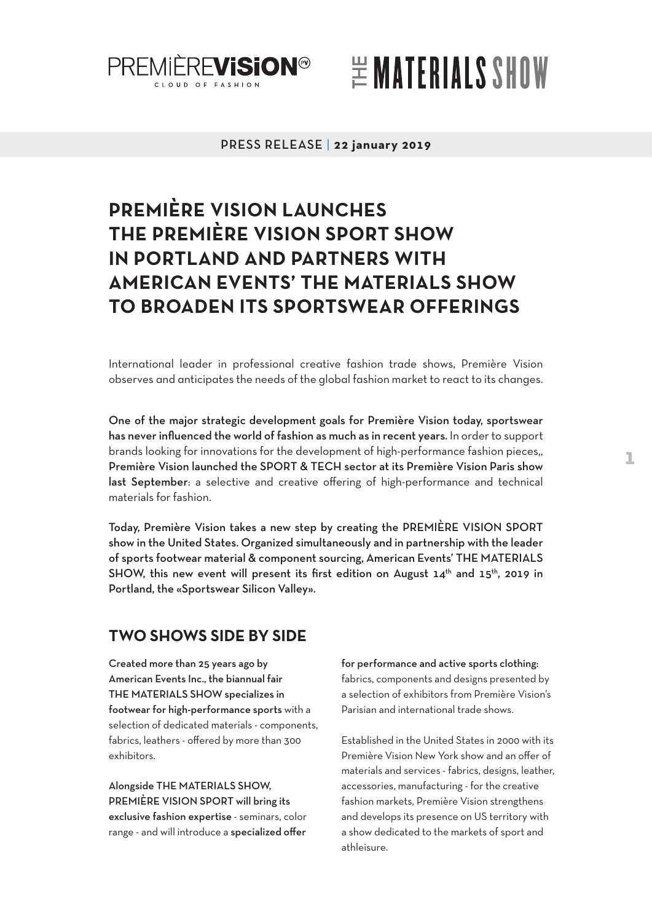

# $\cong$  MATERIALS SHOW

#### PRESS RELEASE | **22 january 2019**

# **PREMIÈRE VISION LAUNCHES THE PREMIÈRE VISION SPORT SHOW IN PORTLAND AND PARTNERS WITH AMERICAN EVENTS' THE MATERIALS SHOW TO BROADEN ITS SPORTSWEAR OFFERINGS**

International leader in professional creative fashion trade shows, Première Vision observes and anticipates the needs of the global fashion market to react to its changes.

One of the major strategic development goals for Première Vision today, sportswear has never influenced the world of fashion as much as in recent years. In order to support brands looking for innovations for the development of high-performance fashion pieces,, Première Vision launched the SPORT & TECH sector at its Première Vision Paris show last September: a selective and creative offering of high-performance and technical materials for fashion.

Today, Première Vision takes a new step by creating the PREMIÈRE VISION SPORT show in the United States. Organized simultaneously and in partnership with the leader of sports footwear material & component sourcing, American Events' THE MATERIALS SHOW, this new event will present its first edition on August  $14<sup>th</sup>$  and  $15<sup>th</sup>$ , 2019 in Portland, the «Sportswear Silicon Valley».

### **TWO SHOWS SIDE BY SIDE**

Created more than 25 years ago by American Events Inc., the biannual fair THE MATERIALS SHOW specializes in footwear for high-performance sports with a selection of dedicated materials - components, fabrics, leathers - offered by more than 300 exhibitors.

Alongside THE MATERIALS SHOW, PREMIÈRE VISION SPORT will bring its exclusive fashion expertise - seminars, color range - and will introduce a specialized offer

for performance and active sports clothing: fabrics, components and designs presented by a selection of exhibitors from Première Vision's Parisian and international trade shows.

Established in the United States in 2000 with its Première Vision New York show and an offer of materials and services - fabrics, designs, leather, accessories, manufacturing - for the creative fashion markets, Première Vision strengthens and develops its presence on US territory with a show dedicated to the markets of sport and athleisure.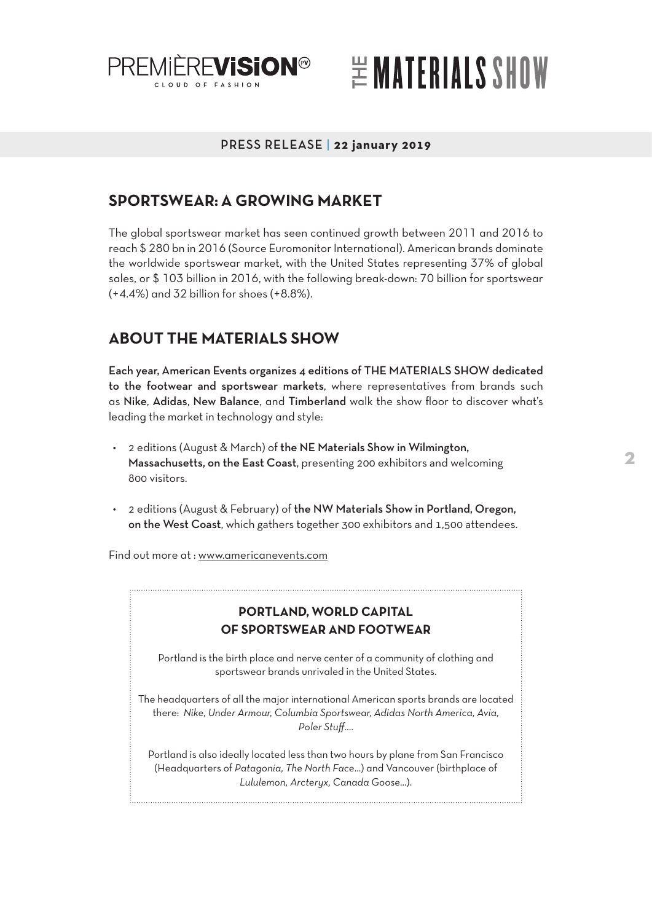

# $\cong$  MATERIALS SHOW

### PRESS RELEASE | **22 january 2019**

## **SPORTSWEAR: A GROWING MARKET**

The global sportswear market has seen continued growth between 2011 and 2016 to reach \$ 280 bn in 2016 (Source Euromonitor International). American brands dominate the worldwide sportswear market, with the United States representing 37% of global sales, or \$ 103 billion in 2016, with the following break-down: 70 billion for sportswear (+4.4%) and 32 billion for shoes (+8.8%).

## **ABOUT THE MATERIALS SHOW**

Each year, American Events organizes 4 editions of THE MATERIALS SHOW dedicated to the footwear and sportswear markets, where representatives from brands such as Nike, Adidas, New Balance, and Timberland walk the show floor to discover what's leading the market in technology and style:

- 2 editions (August & March) of the NE Materials Show in Wilmington, Massachusetts, on the East Coast, presenting 200 exhibitors and welcoming 800 visitors.
- 2 editions (August & February) of the NW Materials Show in Portland, Oregon, on the West Coast, which gathers together 300 exhibitors and 1,500 attendees.

Find out more at : [www.americanevents.com](http://www.americanevents.com)

### **PORTLAND, WORLD CAPITAL OF SPORTSWEAR AND FOOTWEAR**

Portland is the birth place and nerve center of a community of clothing and sportswear brands unrivaled in the United States.

The headquarters of all the major international American sports brands are located there: *Nike, Under Armour, Columbia Sportswear, Adidas North America, Avia, Poler Stuff*….

Portland is also ideally located less than two hours by plane from San Francisco (Headquarters of *Patagonia, The North Face*...) and Vancouver (birthplace of *Lululemon, Arcteryx, Canada Goose*...).